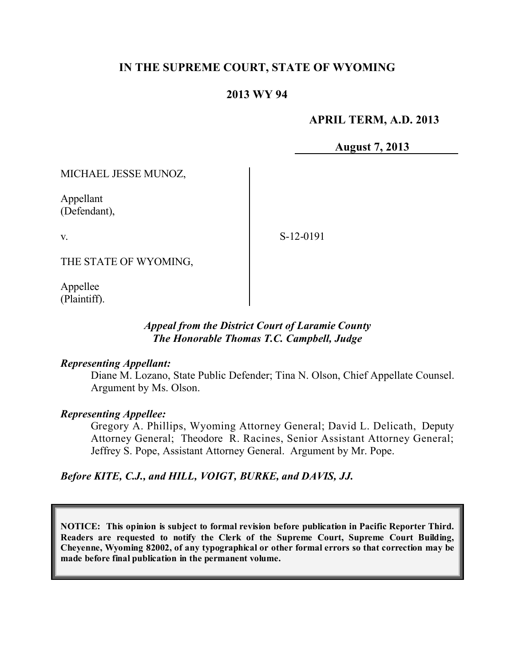# **IN THE SUPREME COURT, STATE OF WYOMING**

## **2013 WY 94**

### **APRIL TERM, A.D. 2013**

**August 7, 2013**

MICHAEL JESSE MUNOZ,

Appellant (Defendant),

v.

S-12-0191

THE STATE OF WYOMING,

Appellee (Plaintiff).

## *Appeal from the District Court of Laramie County The Honorable Thomas T.C. Campbell, Judge*

### *Representing Appellant:*

Diane M. Lozano, State Public Defender; Tina N. Olson, Chief Appellate Counsel. Argument by Ms. Olson.

### *Representing Appellee:*

Gregory A. Phillips, Wyoming Attorney General; David L. Delicath, Deputy Attorney General; Theodore R. Racines, Senior Assistant Attorney General; Jeffrey S. Pope, Assistant Attorney General. Argument by Mr. Pope.

*Before KITE, C.J., and HILL, VOIGT, BURKE, and DAVIS, JJ.*

**NOTICE: This opinion is subject to formal revision before publication in Pacific Reporter Third. Readers are requested to notify the Clerk of the Supreme Court, Supreme Court Building, Cheyenne, Wyoming 82002, of any typographical or other formal errors so that correction may be made before final publication in the permanent volume.**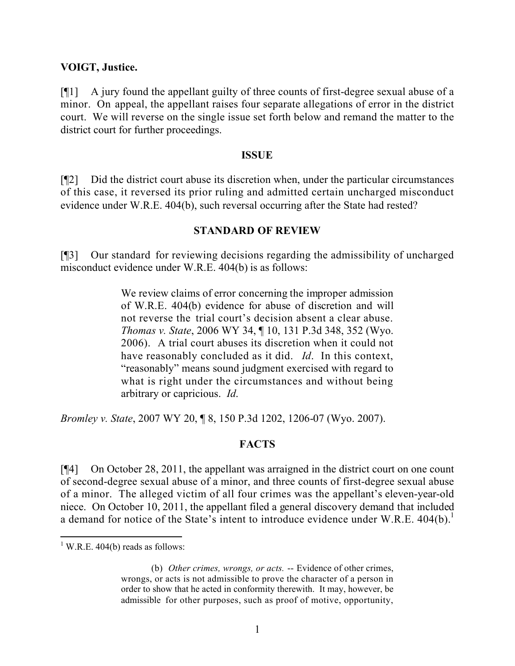### **VOIGT, Justice.**

[¶1] A jury found the appellant guilty of three counts of first-degree sexual abuse of a minor. On appeal, the appellant raises four separate allegations of error in the district court. We will reverse on the single issue set forth below and remand the matter to the district court for further proceedings.

#### **ISSUE**

[¶2] Did the district court abuse its discretion when, under the particular circumstances of this case, it reversed its prior ruling and admitted certain uncharged misconduct evidence under W.R.E. 404(b), such reversal occurring after the State had rested?

### **STANDARD OF REVIEW**

[¶3] Our standard for reviewing decisions regarding the admissibility of uncharged misconduct evidence under W.R.E. 404(b) is as follows:

> We review claims of error concerning the improper admission of W.R.E. 404(b) evidence for abuse of discretion and will not reverse the trial court's decision absent a clear abuse. *Thomas v. State*, 2006 WY 34, ¶ 10, 131 P.3d 348, 352 (Wyo. 2006). A trial court abuses its discretion when it could not have reasonably concluded as it did. *Id*. In this context, "reasonably" means sound judgment exercised with regard to what is right under the circumstances and without being arbitrary or capricious. *Id*.

*Bromley v. State*, 2007 WY 20, ¶ 8, 150 P.3d 1202, 1206-07 (Wyo. 2007).

## **FACTS**

[¶4] On October 28, 2011, the appellant was arraigned in the district court on one count of second-degree sexual abuse of a minor, and three counts of first-degree sexual abuse of a minor. The alleged victim of all four crimes was the appellant's eleven-year-old niece. On October 10, 2011, the appellant filed a general discovery demand that included a demand for notice of the State's intent to introduce evidence under W.R.E.  $404(b)$ .<sup>1</sup>

  $1$  W.R.E. 404(b) reads as follows:

<sup>(</sup>b) *Other crimes, wrongs, or acts.* -- Evidence of other crimes, wrongs, or acts is not admissible to prove the character of a person in order to show that he acted in conformity therewith. It may, however, be admissible for other purposes, such as proof of motive, opportunity,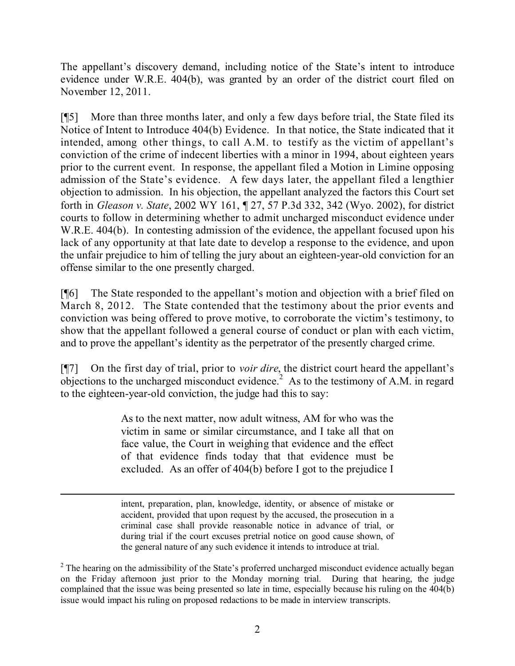The appellant's discovery demand, including notice of the State's intent to introduce evidence under W.R.E. 404(b), was granted by an order of the district court filed on November 12, 2011.

[¶5] More than three months later, and only a few days before trial, the State filed its Notice of Intent to Introduce 404(b) Evidence. In that notice, the State indicated that it intended, among other things, to call A.M. to testify as the victim of appellant's conviction of the crime of indecent liberties with a minor in 1994, about eighteen years prior to the current event. In response, the appellant filed a Motion in Limine opposing admission of the State's evidence. A few days later, the appellant filed a lengthier objection to admission. In his objection, the appellant analyzed the factors this Court set forth in *Gleason v. State*, 2002 WY 161, ¶ 27, 57 P.3d 332, 342 (Wyo. 2002), for district courts to follow in determining whether to admit uncharged misconduct evidence under W.R.E. 404(b). In contesting admission of the evidence, the appellant focused upon his lack of any opportunity at that late date to develop a response to the evidence, and upon the unfair prejudice to him of telling the jury about an eighteen-year-old conviction for an offense similar to the one presently charged.

[¶6] The State responded to the appellant's motion and objection with a brief filed on March 8, 2012. The State contended that the testimony about the prior events and conviction was being offered to prove motive, to corroborate the victim's testimony, to show that the appellant followed a general course of conduct or plan with each victim, and to prove the appellant's identity as the perpetrator of the presently charged crime.

[¶7] On the first day of trial, prior to *voir dire*, the district court heard the appellant's objections to the uncharged misconduct evidence.<sup>2</sup> As to the testimony of A.M. in regard to the eighteen-year-old conviction, the judge had this to say:

> As to the next matter, now adult witness, AM for who was the victim in same or similar circumstance, and I take all that on face value, the Court in weighing that evidence and the effect of that evidence finds today that that evidence must be excluded. As an offer of 404(b) before I got to the prejudice I

> intent, preparation, plan, knowledge, identity, or absence of mistake or accident, provided that upon request by the accused, the prosecution in a criminal case shall provide reasonable notice in advance of trial, or during trial if the court excuses pretrial notice on good cause shown, of the general nature of any such evidence it intends to introduce at trial.

<sup>&</sup>lt;sup>2</sup> The hearing on the admissibility of the State's proferred uncharged misconduct evidence actually began on the Friday afternoon just prior to the Monday morning trial. During that hearing, the judge complained that the issue was being presented so late in time, especially because his ruling on the 404(b) issue would impact his ruling on proposed redactions to be made in interview transcripts.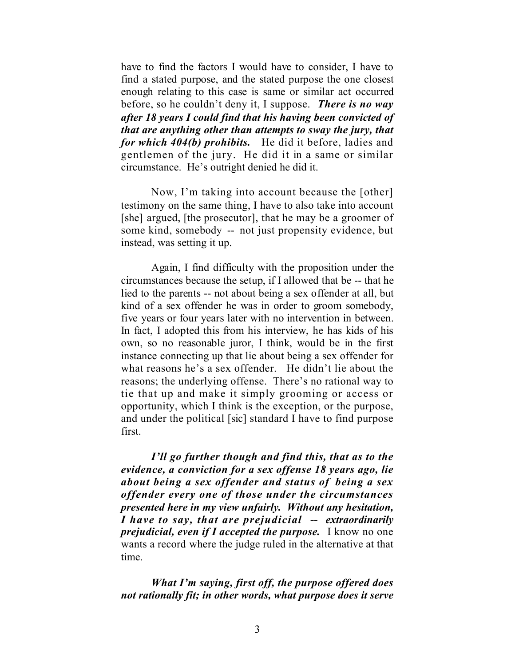have to find the factors I would have to consider, I have to find a stated purpose, and the stated purpose the one closest enough relating to this case is same or similar act occurred before, so he couldn't deny it, I suppose. *There is no way after 18 years I could find that his having been convicted of that are anything other than attempts to sway the jury, that for which 404(b) prohibits.* He did it before, ladies and gentlemen of the jury. He did it in a same or similar circumstance. He's outright denied he did it.

Now, I'm taking into account because the [other] testimony on the same thing, I have to also take into account [she] argued, [the prosecutor], that he may be a groomer of some kind, somebody -- not just propensity evidence, but instead, was setting it up.

Again, I find difficulty with the proposition under the circumstances because the setup, if I allowed that be -- that he lied to the parents -- not about being a sex offender at all, but kind of a sex offender he was in order to groom somebody, five years or four years later with no intervention in between. In fact, I adopted this from his interview, he has kids of his own, so no reasonable juror, I think, would be in the first instance connecting up that lie about being a sex offender for what reasons he's a sex offender. He didn't lie about the reasons; the underlying offense. There's no rational way to tie that up and make it simply grooming or access or opportunity, which I think is the exception, or the purpose, and under the political [sic] standard I have to find purpose first.

*I'll go further though and find this, that as to the evidence, a conviction for a sex offense 18 years ago, lie about being a sex offender and status of being a sex offender every one of those under the circumstances presented here in my view unfairly. Without any hesitation, I have to say, that are prejudicial -- extraordinarily prejudicial, even if I accepted the purpose.* I know no one wants a record where the judge ruled in the alternative at that time.

*What I'm saying, first off, the purpose offered does not rationally fit; in other words, what purpose does it serve*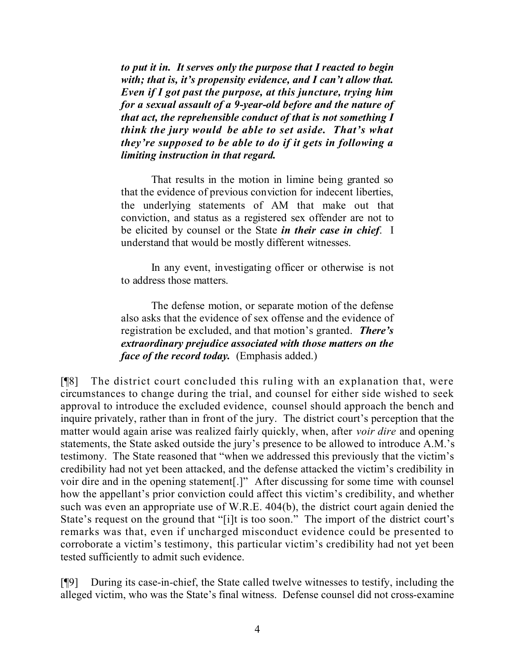*to put it in. It serves only the purpose that I reacted to begin with; that is, it's propensity evidence, and I can't allow that. Even if I got past the purpose, at this juncture, trying him for a sexual assault of a 9-year-old before and the nature of that act, the reprehensible conduct of that is not something I think the jury would be able to set aside. That's what they're supposed to be able to do if it gets in following a limiting instruction in that regard.*

That results in the motion in limine being granted so that the evidence of previous conviction for indecent liberties, the underlying statements of AM that make out that conviction, and status as a registered sex offender are not to be elicited by counsel or the State *in their case in chief*. I understand that would be mostly different witnesses.

In any event, investigating officer or otherwise is not to address those matters.

The defense motion, or separate motion of the defense also asks that the evidence of sex offense and the evidence of registration be excluded, and that motion's granted. *There's extraordinary prejudice associated with those matters on the face of the record today.* (Emphasis added.)

[¶8] The district court concluded this ruling with an explanation that, were circumstances to change during the trial, and counsel for either side wished to seek approval to introduce the excluded evidence, counsel should approach the bench and inquire privately, rather than in front of the jury. The district court's perception that the matter would again arise was realized fairly quickly, when, after *voir dire* and opening statements, the State asked outside the jury's presence to be allowed to introduce A.M.'s testimony. The State reasoned that "when we addressed this previously that the victim's credibility had not yet been attacked, and the defense attacked the victim's credibility in voir dire and in the opening statement[.]" After discussing for some time with counsel how the appellant's prior conviction could affect this victim's credibility, and whether such was even an appropriate use of W.R.E. 404(b), the district court again denied the State's request on the ground that "[i]t is too soon." The import of the district court's remarks was that, even if uncharged misconduct evidence could be presented to corroborate a victim's testimony, this particular victim's credibility had not yet been tested sufficiently to admit such evidence.

[¶9] During its case-in-chief, the State called twelve witnesses to testify, including the alleged victim, who was the State's final witness. Defense counsel did not cross-examine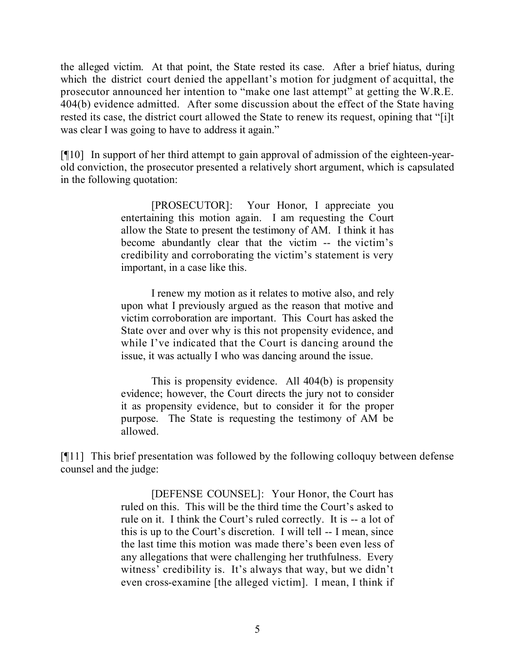the alleged victim. At that point, the State rested its case. After a brief hiatus, during which the district court denied the appellant's motion for judgment of acquittal, the prosecutor announced her intention to "make one last attempt" at getting the W.R.E. 404(b) evidence admitted. After some discussion about the effect of the State having rested its case, the district court allowed the State to renew its request, opining that "[i]t was clear I was going to have to address it again."

[¶10] In support of her third attempt to gain approval of admission of the eighteen-yearold conviction, the prosecutor presented a relatively short argument, which is capsulated in the following quotation:

> [PROSECUTOR]: Your Honor, I appreciate you entertaining this motion again. I am requesting the Court allow the State to present the testimony of AM. I think it has become abundantly clear that the victim -- the victim's credibility and corroborating the victim's statement is very important, in a case like this.

> I renew my motion as it relates to motive also, and rely upon what I previously argued as the reason that motive and victim corroboration are important. This Court has asked the State over and over why is this not propensity evidence, and while I've indicated that the Court is dancing around the issue, it was actually I who was dancing around the issue.

> This is propensity evidence. All 404(b) is propensity evidence; however, the Court directs the jury not to consider it as propensity evidence, but to consider it for the proper purpose. The State is requesting the testimony of AM be allowed.

[¶11] This brief presentation was followed by the following colloquy between defense counsel and the judge:

> [DEFENSE COUNSEL]: Your Honor, the Court has ruled on this. This will be the third time the Court's asked to rule on it. I think the Court's ruled correctly. It is -- a lot of this is up to the Court's discretion. I will tell -- I mean, since the last time this motion was made there's been even less of any allegations that were challenging her truthfulness. Every witness' credibility is. It's always that way, but we didn't even cross-examine [the alleged victim]. I mean, I think if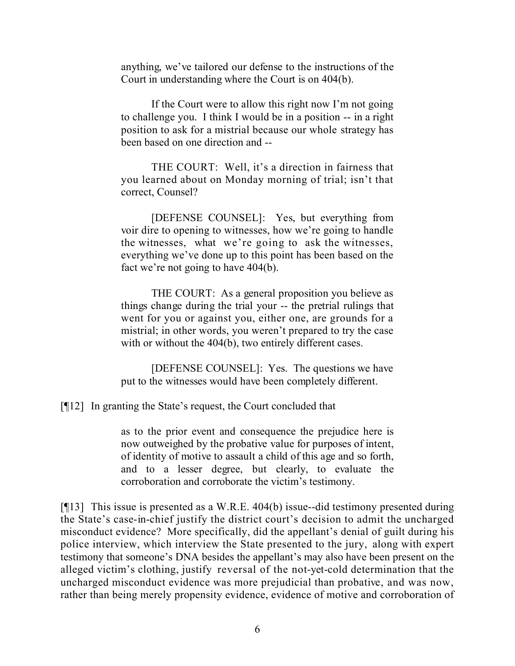anything, we've tailored our defense to the instructions of the Court in understanding where the Court is on 404(b).

If the Court were to allow this right now I'm not going to challenge you. I think I would be in a position -- in a right position to ask for a mistrial because our whole strategy has been based on one direction and --

THE COURT: Well, it's a direction in fairness that you learned about on Monday morning of trial; isn't that correct, Counsel?

[DEFENSE COUNSEL]: Yes, but everything from voir dire to opening to witnesses, how we're going to handle the witnesses, what we're going to ask the witnesses, everything we've done up to this point has been based on the fact we're not going to have 404(b).

THE COURT: As a general proposition you believe as things change during the trial your -- the pretrial rulings that went for you or against you, either one, are grounds for a mistrial; in other words, you weren't prepared to try the case with or without the 404(b), two entirely different cases.

[DEFENSE COUNSEL]: Yes. The questions we have put to the witnesses would have been completely different.

[¶12] In granting the State's request, the Court concluded that

as to the prior event and consequence the prejudice here is now outweighed by the probative value for purposes of intent, of identity of motive to assault a child of this age and so forth, and to a lesser degree, but clearly, to evaluate the corroboration and corroborate the victim's testimony.

[¶13] This issue is presented as a W.R.E. 404(b) issue--did testimony presented during the State's case-in-chief justify the district court's decision to admit the uncharged misconduct evidence? More specifically, did the appellant's denial of guilt during his police interview, which interview the State presented to the jury, along with expert testimony that someone's DNA besides the appellant's may also have been present on the alleged victim's clothing, justify reversal of the not-yet-cold determination that the uncharged misconduct evidence was more prejudicial than probative, and was now, rather than being merely propensity evidence, evidence of motive and corroboration of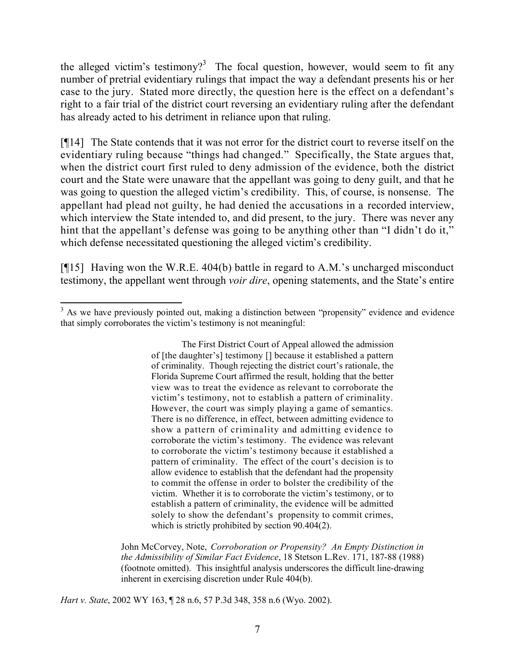the alleged victim's testimony?<sup>3</sup> The focal question, however, would seem to fit any number of pretrial evidentiary rulings that impact the way a defendant presents his or her case to the jury. Stated more directly, the question here is the effect on a defendant's right to a fair trial of the district court reversing an evidentiary ruling after the defendant has already acted to his detriment in reliance upon that ruling.

[¶14] The State contends that it was not error for the district court to reverse itself on the evidentiary ruling because "things had changed." Specifically, the State argues that, when the district court first ruled to deny admission of the evidence, both the district court and the State were unaware that the appellant was going to deny guilt, and that he was going to question the alleged victim's credibility. This, of course, is nonsense. The appellant had plead not guilty, he had denied the accusations in a recorded interview, which interview the State intended to, and did present, to the jury. There was never any hint that the appellant's defense was going to be anything other than "I didn't do it," which defense necessitated questioning the alleged victim's credibility.

[¶15] Having won the W.R.E. 404(b) battle in regard to A.M.'s uncharged misconduct testimony, the appellant went through *voir dire*, opening statements, and the State's entire

The First District Court of Appeal allowed the admission of [the daughter's] testimony [] because it established a pattern of criminality. Though rejecting the district court's rationale, the Florida Supreme Court affirmed the result, holding that the better view was to treat the evidence as relevant to corroborate the victim's testimony, not to establish a pattern of criminality. However, the court was simply playing a game of semantics. There is no difference, in effect, between admitting evidence to show a pattern of criminality and admitting evidence to corroborate the victim's testimony. The evidence was relevant to corroborate the victim's testimony because it established a pattern of criminality. The effect of the court's decision is to allow evidence to establish that the defendant had the propensity to commit the offense in order to bolster the credibility of the victim. Whether it is to corroborate the victim's testimony, or to establish a pattern of criminality, the evidence will be admitted solely to show the defendant's propensity to commit crimes. which is strictly prohibited by section 90.404(2).

John McCorvey, Note, *Corroboration or Propensity? An Empty Distinction in the Admissibility of Similar Fact Evidence*, 18 Stetson L.Rev. 171, 187-88 (1988) (footnote omitted). This insightful analysis underscores the difficult line-drawing inherent in exercising discretion under Rule 404(b).

*Hart v. State*, 2002 WY 163, ¶ 28 n.6, 57 P.3d 348, 358 n.6 (Wyo. 2002).

  $3$  As we have previously pointed out, making a distinction between "propensity" evidence and evidence that simply corroborates the victim's testimony is not meaningful: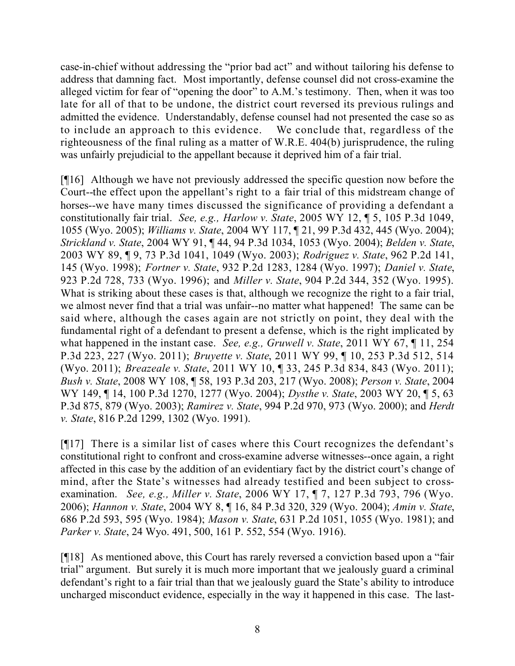case-in-chief without addressing the "prior bad act" and without tailoring his defense to address that damning fact. Most importantly, defense counsel did not cross-examine the alleged victim for fear of "opening the door" to A.M.'s testimony. Then, when it was too late for all of that to be undone, the district court reversed its previous rulings and admitted the evidence. Understandably, defense counsel had not presented the case so as to include an approach to this evidence. We conclude that, regardless of the righteousness of the final ruling as a matter of W.R.E. 404(b) jurisprudence, the ruling was unfairly prejudicial to the appellant because it deprived him of a fair trial.

[¶16] Although we have not previously addressed the specific question now before the Court--the effect upon the appellant's right to a fair trial of this midstream change of horses--we have many times discussed the significance of providing a defendant a constitutionally fair trial. *See, e.g., Harlow v. State*, 2005 WY 12, ¶ 5, 105 P.3d 1049, 1055 (Wyo. 2005); *Williams v. State*, 2004 WY 117, ¶ 21, 99 P.3d 432, 445 (Wyo. 2004); *Strickland v. State*, 2004 WY 91, ¶ 44, 94 P.3d 1034, 1053 (Wyo. 2004); *Belden v. State*, 2003 WY 89, ¶ 9, 73 P.3d 1041, 1049 (Wyo. 2003); *Rodriguez v. State*, 962 P.2d 141, 145 (Wyo. 1998); *Fortner v. State*, 932 P.2d 1283, 1284 (Wyo. 1997); *Daniel v. State*, 923 P.2d 728, 733 (Wyo. 1996); and *Miller v. State*, 904 P.2d 344, 352 (Wyo. 1995). What is striking about these cases is that, although we recognize the right to a fair trial, we almost never find that a trial was unfair--no matter what happened! The same can be said where, although the cases again are not strictly on point, they deal with the fundamental right of a defendant to present a defense, which is the right implicated by what happened in the instant case. *See, e.g., Gruwell v. State*, 2011 WY 67, ¶ 11, 254 P.3d 223, 227 (Wyo. 2011); *Bruyette v. State*, 2011 WY 99, ¶ 10, 253 P.3d 512, 514 (Wyo. 2011); *Breazeale v. State*, 2011 WY 10, ¶ 33, 245 P.3d 834, 843 (Wyo. 2011); *Bush v. State*, 2008 WY 108, ¶ 58, 193 P.3d 203, 217 (Wyo. 2008); *Person v. State*, 2004 WY 149, ¶ 14, 100 P.3d 1270, 1277 (Wyo. 2004); *Dysthe v. State*, 2003 WY 20, ¶ 5, 63 P.3d 875, 879 (Wyo. 2003); *Ramirez v. State*, 994 P.2d 970, 973 (Wyo. 2000); and *Herdt v. State*, 816 P.2d 1299, 1302 (Wyo. 1991).

[¶17] There is a similar list of cases where this Court recognizes the defendant's constitutional right to confront and cross-examine adverse witnesses--once again, a right affected in this case by the addition of an evidentiary fact by the district court's change of mind, after the State's witnesses had already testified and been subject to crossexamination. *See, e.g., Miller v. State*, 2006 WY 17, ¶ 7, 127 P.3d 793, 796 (Wyo. 2006); *Hannon v. State*, 2004 WY 8, ¶ 16, 84 P.3d 320, 329 (Wyo. 2004); *Amin v. State*, 686 P.2d 593, 595 (Wyo. 1984); *Mason v. State*, 631 P.2d 1051, 1055 (Wyo. 1981); and *Parker v. State*, 24 Wyo. 491, 500, 161 P. 552, 554 (Wyo. 1916).

[¶18] As mentioned above, this Court has rarely reversed a conviction based upon a "fair trial" argument. But surely it is much more important that we jealously guard a criminal defendant's right to a fair trial than that we jealously guard the State's ability to introduce uncharged misconduct evidence, especially in the way it happened in this case. The last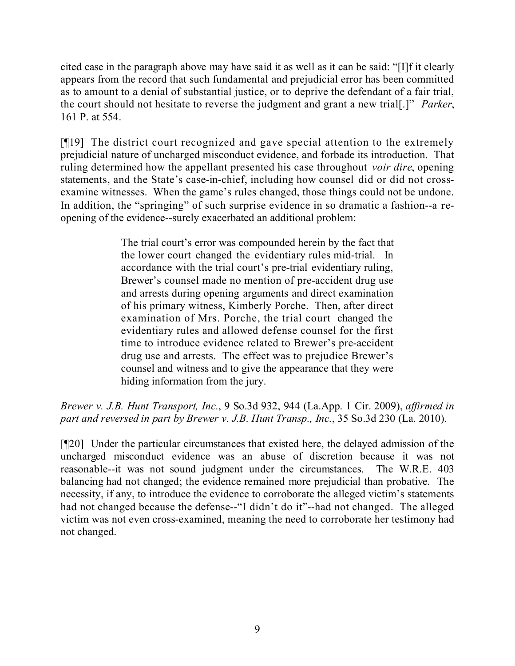cited case in the paragraph above may have said it as well as it can be said: "[I]f it clearly appears from the record that such fundamental and prejudicial error has been committed as to amount to a denial of substantial justice, or to deprive the defendant of a fair trial, the court should not hesitate to reverse the judgment and grant a new trial[.]" *Parker*, 161 P. at 554.

[¶19] The district court recognized and gave special attention to the extremely prejudicial nature of uncharged misconduct evidence, and forbade its introduction. That ruling determined how the appellant presented his case throughout *voir dire*, opening statements, and the State's case-in-chief, including how counsel did or did not crossexamine witnesses. When the game's rules changed, those things could not be undone. In addition, the "springing" of such surprise evidence in so dramatic a fashion--a reopening of the evidence--surely exacerbated an additional problem:

> The trial court's error was compounded herein by the fact that the lower court changed the evidentiary rules mid-trial. In accordance with the trial court's pre-trial evidentiary ruling, Brewer's counsel made no mention of pre-accident drug use and arrests during opening arguments and direct examination of his primary witness, Kimberly Porche. Then, after direct examination of Mrs. Porche, the trial court changed the evidentiary rules and allowed defense counsel for the first time to introduce evidence related to Brewer's pre-accident drug use and arrests. The effect was to prejudice Brewer's counsel and witness and to give the appearance that they were hiding information from the jury.

*Brewer v. J.B. Hunt Transport, Inc.*, 9 So.3d 932, 944 (La.App. 1 Cir. 2009), *affirmed in part and reversed in part by Brewer v. J.B. Hunt Transp., Inc.*, 35 So.3d 230 (La. 2010).

[¶20] Under the particular circumstances that existed here, the delayed admission of the uncharged misconduct evidence was an abuse of discretion because it was not reasonable--it was not sound judgment under the circumstances. The W.R.E. 403 balancing had not changed; the evidence remained more prejudicial than probative. The necessity, if any, to introduce the evidence to corroborate the alleged victim's statements had not changed because the defense--"I didn't do it"--had not changed. The alleged victim was not even cross-examined, meaning the need to corroborate her testimony had not changed.